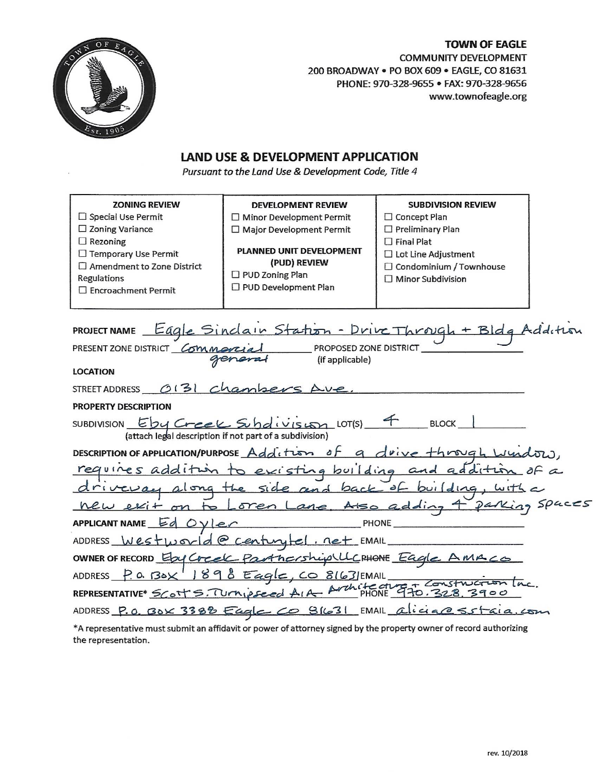# **TOWN OF EAGLE COMMUNITY DEVELOPMENT** 200 BROADWAY . PO BOX 609 . EAGLE, CO 81631 PHONE: 970-328-9655 · FAX: 970-328-9656 www.townofeagle.org

# **LAND USE & DEVELOPMENT APPLICATION**

Pursuant to the Land Use & Development Code, Title 4

| <b>ZONING REVIEW</b><br>$\Box$ Special Use Permit<br>$\Box$ Zoning Variance<br>$\Box$ Rezoning<br>□ Temporary Use Permit<br>$\Box$ Amendment to Zone District<br>Regulations<br>□ Encroachment Permit | <b>DEVELOPMENT REVIEW</b><br>$\Box$ Minor Development Permit<br>$\Box$ Major Development Permit<br><b>PLANNED UNIT DEVELOPMENT</b><br>(PUD) REVIEW<br>$\Box$ PUD Zoning Plan<br>□ PUD Development Plan | <b>SUBDIVISION REVIEW</b><br>$\Box$ Concept Plan<br>$\Box$ Preliminary Plan<br>$\Box$ Final Plat<br>$\Box$ Lot Line Adjustment<br>□ Condominium / Townhouse<br>$\Box$ Minor Subdivision |  |
|-------------------------------------------------------------------------------------------------------------------------------------------------------------------------------------------------------|--------------------------------------------------------------------------------------------------------------------------------------------------------------------------------------------------------|-----------------------------------------------------------------------------------------------------------------------------------------------------------------------------------------|--|
| PRESENT ZONE DISTRICT COMMON<br><b>LOCATION</b>                                                                                                                                                       | PROPOSED ZONE DISTRICT<br>(if applicable)                                                                                                                                                              | PROJECT NAME Eagle Sindain Station - Drive Through + Bldg Addition                                                                                                                      |  |
| STREET ADDRESS 0131 C                                                                                                                                                                                 |                                                                                                                                                                                                        |                                                                                                                                                                                         |  |
| <b>PROPERTY DESCRIPTION</b>                                                                                                                                                                           |                                                                                                                                                                                                        |                                                                                                                                                                                         |  |
|                                                                                                                                                                                                       | SUBDIVISION EDY Creek Subdivision LOT(S)<br>(attach legal description if not part of a subdivision)                                                                                                    | <b>BLOCK</b>                                                                                                                                                                            |  |
|                                                                                                                                                                                                       |                                                                                                                                                                                                        | DESCRIPTION OF APPLICATION/PURPOSE Addition of a drive through window.                                                                                                                  |  |
|                                                                                                                                                                                                       | requires addition to existing building and addition<br>driveway along the side and back of building, with<br>new exit on to Loren Lane, Also adding 4 parking                                          |                                                                                                                                                                                         |  |
| APPLICANT NAME $EdOVler$                                                                                                                                                                              |                                                                                                                                                                                                        | PHONE                                                                                                                                                                                   |  |
|                                                                                                                                                                                                       | ADDRESS Westworld@centuytel.net EMAIL                                                                                                                                                                  |                                                                                                                                                                                         |  |
|                                                                                                                                                                                                       | OWNER OF RECORD EDY Creek Partnership LLC PHONE Eagle AMACO                                                                                                                                            |                                                                                                                                                                                         |  |
|                                                                                                                                                                                                       | ADDRESS P.O. BOX 1898 Eagle, CO 8163/EMAIL                                                                                                                                                             |                                                                                                                                                                                         |  |
|                                                                                                                                                                                                       | REPRESENTATIVE* Scott S. TUrnipseed AIA Arthitecture T70.328 3900                                                                                                                                      |                                                                                                                                                                                         |  |
|                                                                                                                                                                                                       |                                                                                                                                                                                                        | ADDRESS P.O. BOX 3388 Eagle CO 91631 EMAIL alicia@Sstaia.com                                                                                                                            |  |
|                                                                                                                                                                                                       |                                                                                                                                                                                                        | $*$ A representative must submit an affidavit or power of attorney signed by the property owner of record authorizing                                                                   |  |

 $^\epsilon$ A representative must submit an affidavit or power of attorney signed by the property owner of record authorizir the representation.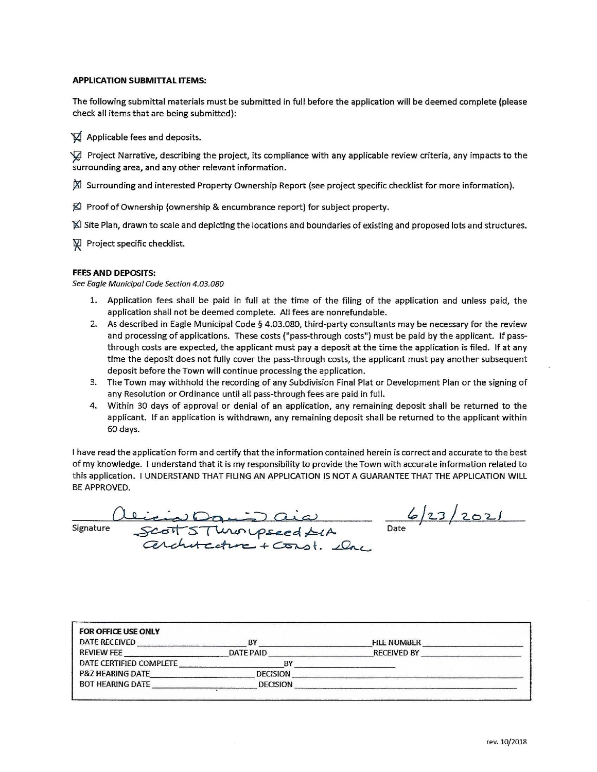### **APPLICATION SUBMITTAL ITEMS:**

The following submittal materials must be submitted in full before the application will be deemed complete (please check all items that are being submitted):

IQ Applicable fees and deposits.

Project Narrative, describing the project, its compliance with any applicable review criteria, any impacts to the surrounding area, and any other relevant information.

 $\boxtimes$  Surrounding and interested Property Ownership Report (see project specific checklist for more information).

KI Proof of Ownership (ownership & encumbrance report) for subject property.

X Site Plan, drawn to scale and depicting the locations and boundaries of existing and proposed lots and structures.

Project specific checklist.

### **FEES AND DEPOSITS:**

See Eagle Municipal Code Section 4.03.080

- 1. Application fees shall be paid in full at the time of the filing of the application and unless paid, the application shall not be deemed complete. All fees are nonrefundable.
- 2. As described in Eagle Municipal Code § 4.03.080, third-party consultants may be necessary for the review and processing of applications. These costs ("pass-through costs") must be paid by the applicant. If passthrough costs are expected, the applicant must pay a deposit at the time the application is filed. If at any time the deposit does not fully cover the pass-through costs, the applicant must pay another subsequent deposit before the Town will continue processing the application.
- 3. The Town may withhold the recording of any Subdivision Final Plat or Development Plan or the signing of any Resolution or Ordinance until all pass-through fees are paid in full.
- 4. Within 30 days of approval or denial of an application, any remaining deposit shall be returned to the applicant. If an application is withdrawn, any remaining deposit shall be returned to the applicant within 60 days.

I have read the application form and certify that the information contained herein is correct and accurate to the best of my knowledge. I understand that it is my responsibility to provide the Town with accurate information related to this application. I UNDERSTAND THAT FILING AN APPLICATION IS NOT A GUARANTEE THAT THE APPLICATION WILL BE APPROVED.

icial Danis aid<br>Scott S. Throupseed SCA<br>Cerchitecture + Const. slow

Signature

 $6/23/2021$ 

| <b>FOR OFFICE USE ONLY</b><br><b>DATE RECEIVED</b> | R١              | <b>FILE NUMBER</b> |  |
|----------------------------------------------------|-----------------|--------------------|--|
| <b>REVIEW FEE</b>                                  | DATE PAID       | <b>RECEIVED BY</b> |  |
| DATE CERTIFIED COMPLETE                            |                 |                    |  |
| <b>P&amp;Z HEARING DATE</b>                        | DECISION        |                    |  |
| <b>BOT HEARING DATE</b>                            | <b>DECISION</b> |                    |  |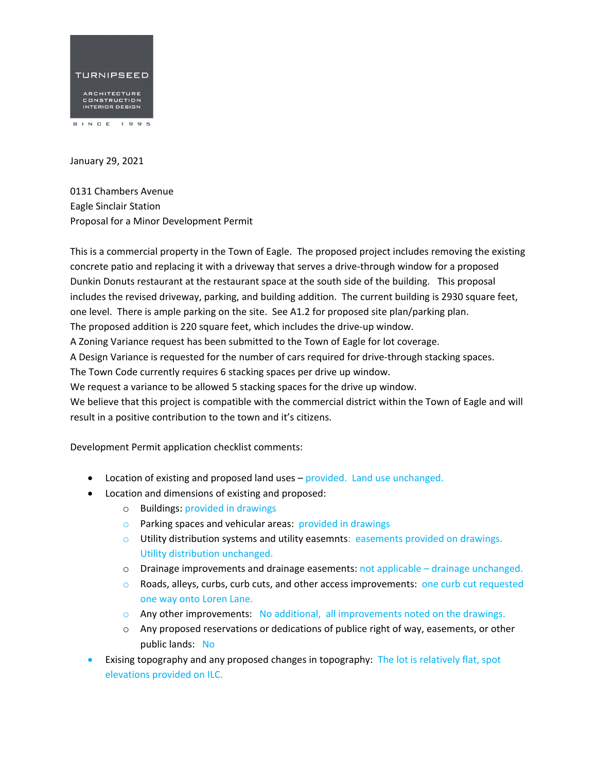

January 29, 2021

0131 Chambers Avenue Eagle Sinclair Station Proposal for a Minor Development Permit

This is a commercial property in the Town of Eagle. The proposed project includes removing the existing concrete patio and replacing it with a driveway that serves a drive‐through window for a proposed Dunkin Donuts restaurant at the restaurant space at the south side of the building. This proposal includes the revised driveway, parking, and building addition. The current building is 2930 square feet, one level. There is ample parking on the site. See A1.2 for proposed site plan/parking plan. The proposed addition is 220 square feet, which includes the drive‐up window. A Zoning Variance request has been submitted to the Town of Eagle for lot coverage. A Design Variance is requested for the number of cars required for drive‐through stacking spaces. The Town Code currently requires 6 stacking spaces per drive up window. We request a variance to be allowed 5 stacking spaces for the drive up window. We believe that this project is compatible with the commercial district within the Town of Eagle and will result in a positive contribution to the town and it's citizens.

Development Permit application checklist comments:

- Location of existing and proposed land uses provided. Land use unchanged.
- Location and dimensions of existing and proposed:
	- o Buildings: provided in drawings
	- o Parking spaces and vehicular areas: provided in drawings
	- $\circ$  Utility distribution systems and utility easemnts: easements provided on drawings. Utility distribution unchanged.
	- o Drainage improvements and drainage easements: not applicable drainage unchanged.
	- $\circ$  Roads, alleys, curbs, curb cuts, and other access improvements: one curb cut requested one way onto Loren Lane.
	- $\circ$  Any other improvements: No additional, all improvements noted on the drawings.
	- $\circ$  Any proposed reservations or dedications of publice right of way, easements, or other public lands: No
- Exising topography and any proposed changes in topography: The lot is relatively flat, spot elevations provided on ILC.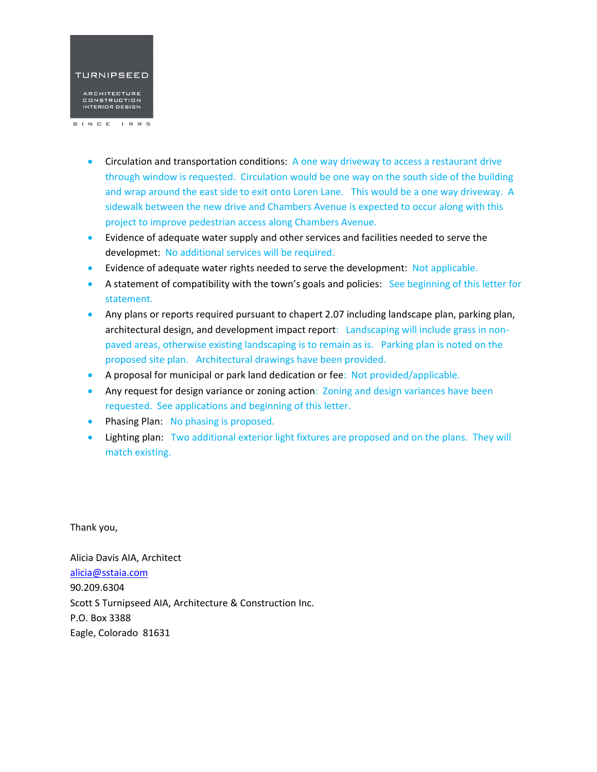

- Circulation and transportation conditions: A one way driveway to access a restaurant drive through window is requested. Circulation would be one way on the south side of the building and wrap around the east side to exit onto Loren Lane. This would be a one way driveway. A sidewalk between the new drive and Chambers Avenue is expected to occur along with this project to improve pedestrian access along Chambers Avenue.
- Evidence of adequate water supply and other services and facilities needed to serve the developmet: No additional services will be required.
- Evidence of adequate water rights needed to serve the development: Not applicable.
- A statement of compatibility with the town's goals and policies: See beginning of this letter for statement.
- Any plans or reports required pursuant to chapert 2.07 including landscape plan, parking plan, architectural design, and development impact report: Landscaping will include grass in nonpaved areas, otherwise existing landscaping is to remain as is. Parking plan is noted on the proposed site plan. Architectural drawings have been provided.
- A proposal for municipal or park land dedication or fee: Not provided/applicable.
- Any request for design variance or zoning action: Zoning and design variances have been requested. See applications and beginning of this letter.
- Phasing Plan: No phasing is proposed.
- Lighting plan: Two additional exterior light fixtures are proposed and on the plans. They will match existing.

Thank you,

Alicia Davis AIA, Architect alicia@sstaia.com 90.209.6304 Scott S Turnipseed AIA, Architecture & Construction Inc. P.O. Box 3388 Eagle, Colorado 81631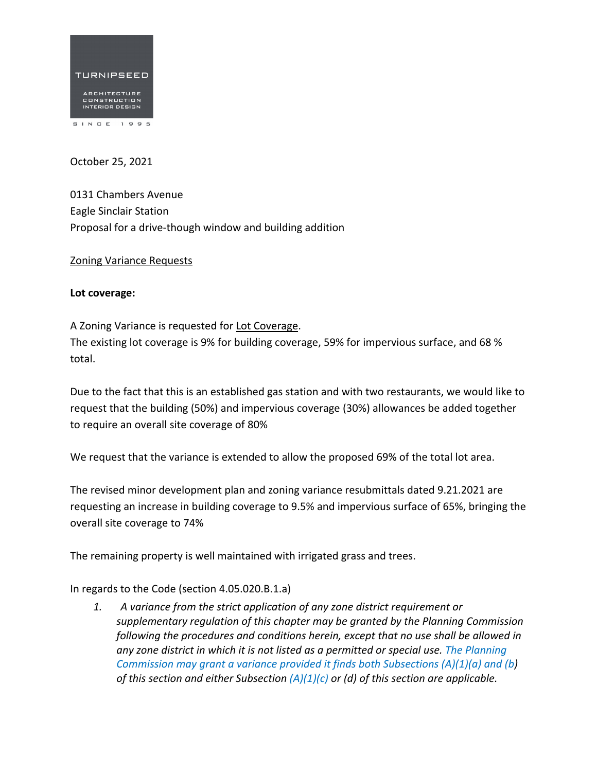

October 25, 2021

0131 Chambers Avenue Eagle Sinclair Station Proposal for a drive‐though window and building addition

Zoning Variance Requests

## **Lot coverage:**

A Zoning Variance is requested for Lot Coverage. The existing lot coverage is 9% for building coverage, 59% for impervious surface, and 68 % total.

Due to the fact that this is an established gas station and with two restaurants, we would like to request that the building (50%) and impervious coverage (30%) allowances be added together to require an overall site coverage of 80%

We request that the variance is extended to allow the proposed 69% of the total lot area.

The revised minor development plan and zoning variance resubmittals dated 9.21.2021 are requesting an increase in building coverage to 9.5% and impervious surface of 65%, bringing the overall site coverage to 74%

The remaining property is well maintained with irrigated grass and trees.

In regards to the Code (section 4.05.020.B.1.a)

*1. A variance from the strict application of any zone district requirement or supplementary regulation of this chapter may be granted by the Planning Commission following the procedures and conditions herein, except that no use shall be allowed in any zone district in which it is not listed as a permitted or special use. The Planning Commission may grant a variance provided it finds both Subsections (A)(1)(a) and (b) of this section and either Subsection (A)(1)(c) or (d) of this section are applicable.*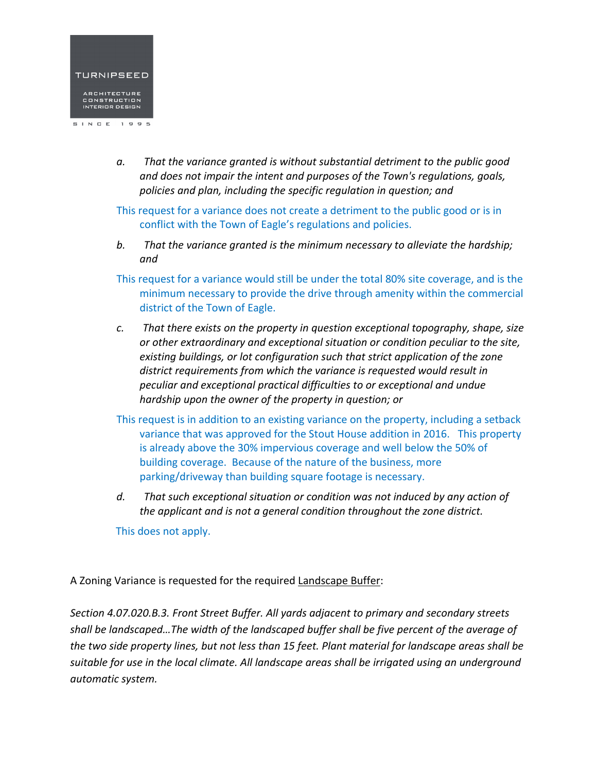

- *a. That the variance granted is without substantial detriment to the public good and does not impair the intent and purposes of the Town's regulations, goals, policies and plan, including the specific regulation in question; and*
- This request for a variance does not create a detriment to the public good or is in conflict with the Town of Eagle's regulations and policies.
- *b. That the variance granted is the minimum necessary to alleviate the hardship; and*
- This request for a variance would still be under the total 80% site coverage, and is the minimum necessary to provide the drive through amenity within the commercial district of the Town of Eagle.
- *c. That there exists on the property in question exceptional topography, shape, size or other extraordinary and exceptional situation or condition peculiar to the site, existing buildings, or lot configuration such that strict application of the zone district requirements from which the variance is requested would result in peculiar and exceptional practical difficulties to or exceptional and undue hardship upon the owner of the property in question; or*
- This request is in addition to an existing variance on the property, including a setback variance that was approved for the Stout House addition in 2016. This property is already above the 30% impervious coverage and well below the 50% of building coverage. Because of the nature of the business, more parking/driveway than building square footage is necessary.
- *d. That such exceptional situation or condition was not induced by any action of the applicant and is not a general condition throughout the zone district.*

This does not apply.

A Zoning Variance is requested for the required Landscape Buffer:

*Section 4.07.020.B.3. Front Street Buffer. All yards adjacent to primary and secondary streets shall be landscaped…The width of the landscaped buffer shall be five percent of the average of* the two side property lines, but not less than 15 feet. Plant material for landscape areas shall be *suitable for use in the local climate. All landscape areas shall be irrigated using an underground automatic system.*